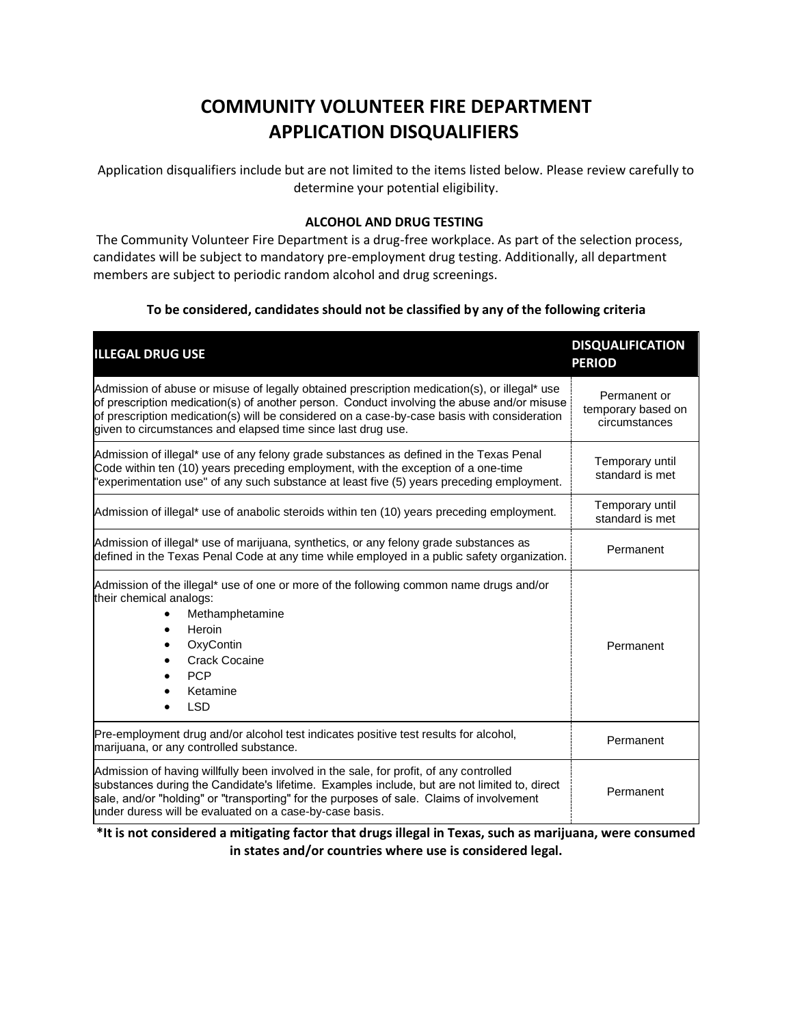# **COMMUNITY VOLUNTEER FIRE DEPARTMENT APPLICATION DISQUALIFIERS**

Application disqualifiers include but are not limited to the items listed below. Please review carefully to determine your potential eligibility.

### **ALCOHOL AND DRUG TESTING**

The Community Volunteer Fire Department is a drug-free workplace. As part of the selection process, candidates will be subject to mandatory pre-employment drug testing. Additionally, all department members are subject to periodic random alcohol and drug screenings.

# **To be considered, candidates should not be classified by any of the following criteria**

| <b>ILLEGAL DRUG USE</b>                                                                                                                                                                                                                                                                                                                                   | <b>DISQUALIFICATION</b><br><b>PERIOD</b>            |
|-----------------------------------------------------------------------------------------------------------------------------------------------------------------------------------------------------------------------------------------------------------------------------------------------------------------------------------------------------------|-----------------------------------------------------|
| Admission of abuse or misuse of legally obtained prescription medication(s), or illegal* use<br>of prescription medication(s) of another person. Conduct involving the abuse and/or misuse<br>of prescription medication(s) will be considered on a case-by-case basis with consideration<br>given to circumstances and elapsed time since last drug use. | Permanent or<br>temporary based on<br>circumstances |
| Admission of illegal* use of any felony grade substances as defined in the Texas Penal<br>Code within ten (10) years preceding employment, with the exception of a one-time<br>"experimentation use" of any such substance at least five (5) years preceding employment.                                                                                  | Temporary until<br>standard is met                  |
| Admission of illegal* use of anabolic steroids within ten (10) years preceding employment.                                                                                                                                                                                                                                                                | Temporary until<br>standard is met                  |
| Admission of illegal* use of marijuana, synthetics, or any felony grade substances as<br>defined in the Texas Penal Code at any time while employed in a public safety organization.                                                                                                                                                                      | Permanent                                           |
| Admission of the illegal* use of one or more of the following common name drugs and/or<br>their chemical analogs:<br>Methamphetamine<br>Heroin<br>OxyContin<br><b>Crack Cocaine</b><br><b>PCP</b><br>Ketamine<br><b>LSD</b>                                                                                                                               | Permanent                                           |
| Pre-employment drug and/or alcohol test indicates positive test results for alcohol,<br>marijuana, or any controlled substance.                                                                                                                                                                                                                           | Permanent                                           |
| Admission of having willfully been involved in the sale, for profit, of any controlled<br>substances during the Candidate's lifetime. Examples include, but are not limited to, direct<br>sale, and/or "holding" or "transporting" for the purposes of sale. Claims of involvement<br>under duress will be evaluated on a case-by-case basis.             | Permanent                                           |

## **\*It is not considered a mitigating factor that drugs illegal in Texas, such as marijuana, were consumed in states and/or countries where use is considered legal.**